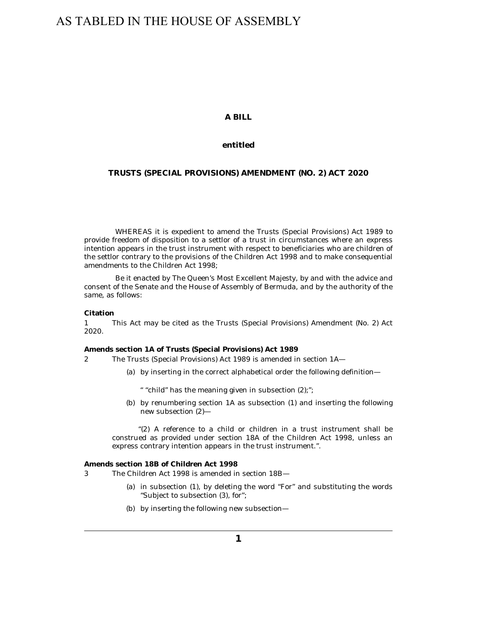# AS TABLED IN THE HOUSE OF ASSEMBLY

## **A BILL**

#### **entitled**

## **TRUSTS (SPECIAL PROVISIONS) AMENDMENT (NO. 2) ACT 2020**

WHEREAS it is expedient to amend the Trusts (Special Provisions) Act 1989 to provide freedom of disposition to a settlor of a trust in circumstances where an express intention appears in the trust instrument with respect to beneficiaries who are children of the settlor contrary to the provisions of the Children Act 1998 and to make consequential amendments to the Children Act 1998;

Be it enacted by The Queen's Most Excellent Majesty, by and with the advice and consent of the Senate and the House of Assembly of Bermuda, and by the authority of the same, as follows:

#### **Citation**

This Act may be cited as the Trusts (Special Provisions) Amendment (No. 2) Act 2020. 1

**Amends section 1A of Trusts (Special Provisions) Act 1989**

The Trusts (Special Provisions) Act 1989 is amended in section 1A— 2

by inserting in the correct alphabetical order the following definition— (a)

" "child" has the meaning given in subsection (2);";

(b) by renumbering section 1A as subsection (1) and inserting the following new subsection (2)—

"(2) A reference to a child or children in a trust instrument shall be construed as provided under section 18A of the Children Act 1998, unless an express contrary intention appears in the trust instrument.".

**Amends section 18B of Children Act 1998**

The Children Act 1998 is amended in section 18B— 3

- (a) in subsection (1), by deleting the word "For" and substituting the words "Subject to subsection (3), for";
- by inserting the following new subsection— (b)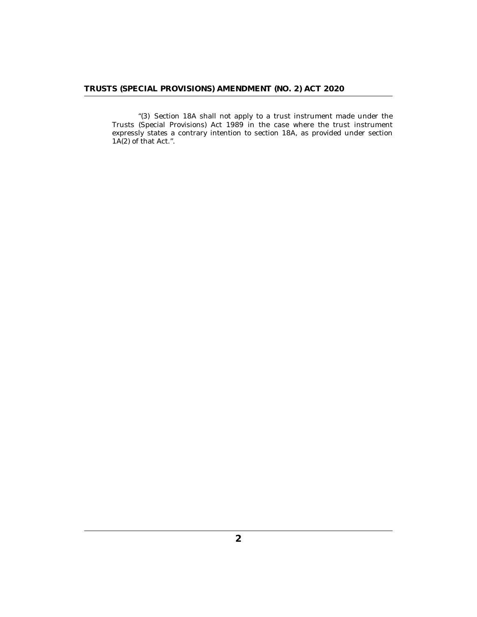"(3) Section 18A shall not apply to a trust instrument made under the Trusts (Special Provisions) Act 1989 in the case where the trust instrument expressly states a contrary intention to section 18A, as provided under section  $1A(2)$  of that Act.".